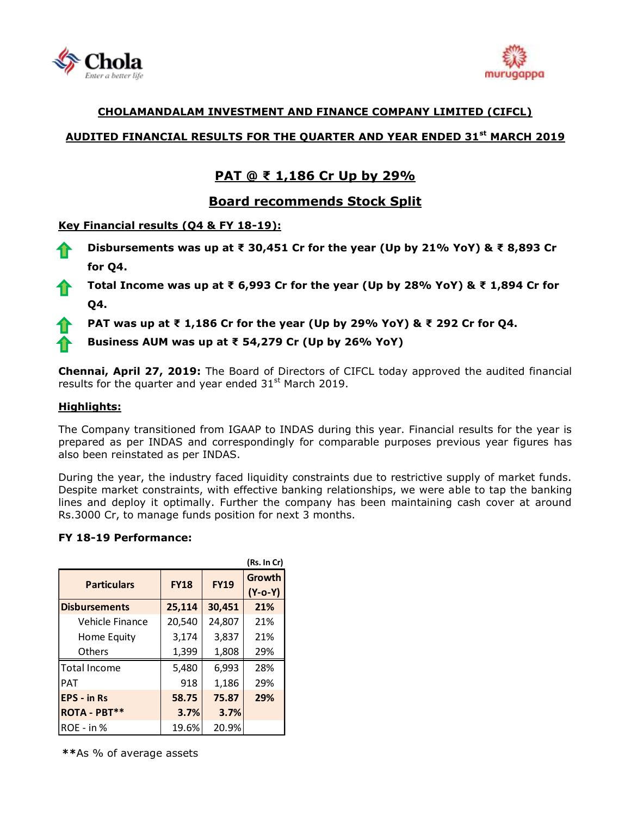



### **CHOLAMANDALAM INVESTMENT AND FINANCE COMPANY LIMITED (CIFCL)**

## **AUDITED FINANCIAL RESULTS FOR THE QUARTER AND YEAR ENDED 31st MARCH 2019**

# **PAT @ ₹ 1,186 Cr Up by 29%**

## **Board recommends Stock Split**

### **Key Financial results (Q4 & FY 18-19):**

- **Disbursements was up at ₹ 30,451 Cr for the year (Up by 21% YoY) & ₹ 8,893 Cr for Q4.**
- **Total Income was up at ₹ 6,993 Cr for the year (Up by 28% YoY) & ₹ 1,894 Cr for Q4.**
	- **PAT was up at ₹ 1,186 Cr for the year (Up by 29% YoY) & ₹ 292 Cr for Q4.**

**Business AUM was up at ₹ 54,279 Cr (Up by 26% YoY)**

**Chennai, April 27, 2019:** The Board of Directors of [CIFCL](http://www.cholamandalam.com/) today approved the audited financial results for the quarter and year ended  $31<sup>st</sup>$  March 2019.

### **Highlights:**

The Company transitioned from IGAAP to INDAS during this year. Financial results for the year is prepared as per INDAS and correspondingly for comparable purposes previous year figures has also been reinstated as per INDAS.

During the year, the industry faced liquidity constraints due to restrictive supply of market funds. Despite market constraints, with effective banking relationships, we were able to tap the banking lines and deploy it optimally. Further the company has been maintaining cash cover at around Rs.3000 Cr, to manage funds position for next 3 months.

### **FY 18-19 Performance:**

| (Rs. In Cr)          |             |             |                            |  |
|----------------------|-------------|-------------|----------------------------|--|
| <b>Particulars</b>   | <b>FY18</b> | <b>FY19</b> | <b>Growth</b><br>$(Y-o-Y)$ |  |
| <b>Disbursements</b> | 25,114      | 30,451      | 21%                        |  |
| Vehicle Finance      | 20,540      | 24,807      | 21%                        |  |
| Home Equity          | 3,174       | 3,837       | 21%                        |  |
| <b>Others</b>        | 1,399       | 1,808       | 29%                        |  |
| <b>Total Income</b>  | 5,480       | 6,993       | 28%                        |  |
| <b>PAT</b>           | 918         | 1,186       | 29%                        |  |
| <b>EPS - in Rs</b>   | 58.75       | 75.87       | 29%                        |  |
| ROTA - PBT**         | 3.7%        | 3.7%        |                            |  |
| $ROE - in %$         | 19.6%       | 20.9%       |                            |  |

**\*\***As % of average assets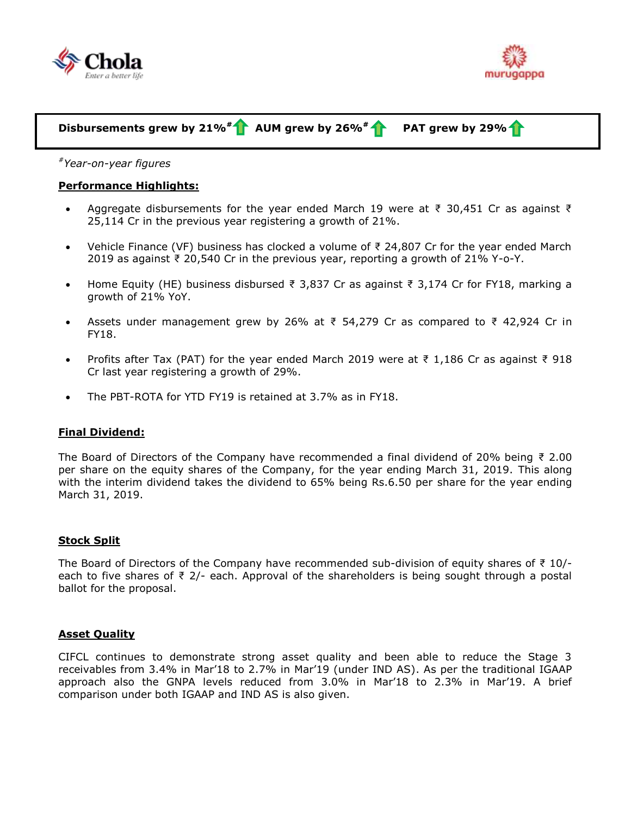



# **Disbursements grew by 21%# AUM grew by 26%# PAT grew by 29%**

*#Year-on-year figures*

#### **Performance Highlights:**

- Aggregate disbursements for the year ended March 19 were at ₹ 30,451 Cr as against ₹ 25,114 Cr in the previous year registering a growth of 21%.
- Vehicle Finance (VF) business has clocked a volume of ₹ 24,807 Cr for the year ended March 2019 as against ₹ 20,540 Cr in the previous year, reporting a growth of 21% Y-o-Y.
- Home Equity (HE) business disbursed ₹ 3,837 Cr as against ₹ 3,174 Cr for FY18, marking a growth of 21% YoY.
- Assets under management grew by 26% at ₹ 54,279 Cr as compared to ₹ 42,924 Cr in FY18.
- Profits after Tax (PAT) for the year ended March 2019 were at ₹ 1,186 Cr as against ₹ 918 Cr last year registering a growth of 29%.
- The PBT-ROTA for YTD FY19 is retained at 3.7% as in FY18.

#### **Final Dividend:**

The Board of Directors of the Company have recommended a final dividend of 20% being  $\bar{\tau}$  2.00 per share on the equity shares of the Company, for the year ending March 31, 2019. This along with the interim dividend takes the dividend to 65% being Rs.6.50 per share for the year ending March 31, 2019.

#### **Stock Split**

The Board of Directors of the Company have recommended sub-division of equity shares of  $\bar{\tau}$  10/each to five shares of ₹ 2/- each. Approval of the shareholders is being sought through a postal ballot for the proposal.

#### **Asset Quality**

CIFCL continues to demonstrate strong asset quality and been able to reduce the Stage 3 receivables from 3.4% in Mar'18 to 2.7% in Mar'19 (under IND AS). As per the traditional IGAAP approach also the GNPA levels reduced from 3.0% in Mar'18 to 2.3% in Mar'19. A brief comparison under both IGAAP and IND AS is also given.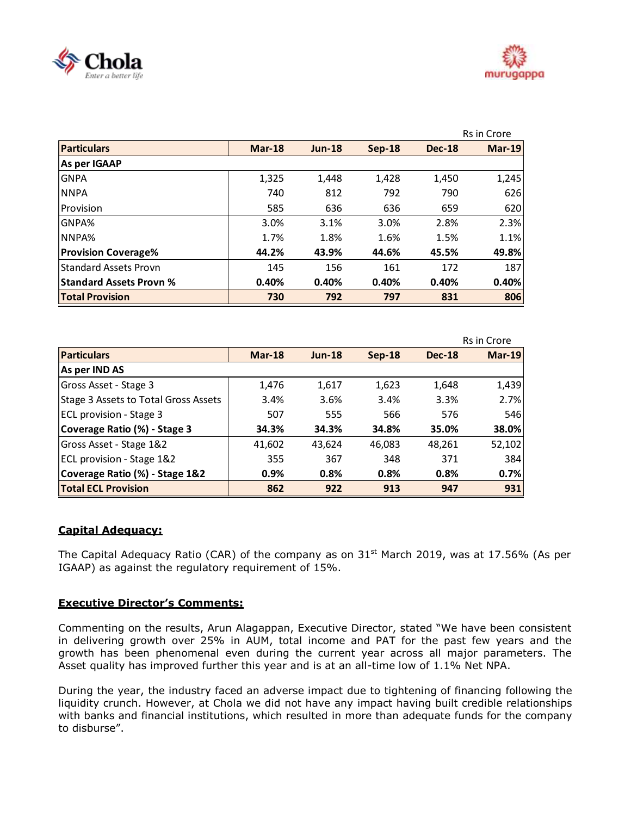



|                                |               |               |          |               | Rs in Crore   |
|--------------------------------|---------------|---------------|----------|---------------|---------------|
| <b>Particulars</b>             | <b>Mar-18</b> | <b>Jun-18</b> | $Sep-18$ | <b>Dec-18</b> | <b>Mar-19</b> |
| As per IGAAP                   |               |               |          |               |               |
| <b>GNPA</b>                    | 1,325         | 1,448         | 1,428    | 1,450         | 1,245         |
| <b>NNPA</b>                    | 740           | 812           | 792      | 790           | 626           |
| <b>Provision</b>               | 585           | 636           | 636      | 659           | 620           |
| GNPA%                          | 3.0%          | 3.1%          | 3.0%     | 2.8%          | 2.3%          |
| NNPA%                          | 1.7%          | 1.8%          | 1.6%     | 1.5%          | 1.1%          |
| <b>Provision Coverage%</b>     | 44.2%         | 43.9%         | 44.6%    | 45.5%         | 49.8%         |
| <b>Standard Assets Provn</b>   | 145           | 156           | 161      | 172           | 187           |
| <b>Standard Assets Provn %</b> | 0.40%         | 0.40%         | 0.40%    | 0.40%         | 0.40%         |
| <b>Total Provision</b>         | 730           | 792           | 797      | 831           | 806           |

|                                      |               |               |          |               | <b>Rs in Crore</b> |
|--------------------------------------|---------------|---------------|----------|---------------|--------------------|
| <b>Particulars</b>                   | <b>Mar-18</b> | <b>Jun-18</b> | $Sep-18$ | <b>Dec-18</b> | $Mar-19$           |
| As per IND AS                        |               |               |          |               |                    |
| Gross Asset - Stage 3                | 1,476         | 1,617         | 1,623    | 1,648         | 1,439              |
| Stage 3 Assets to Total Gross Assets | 3.4%          | 3.6%          | 3.4%     | 3.3%          | 2.7%               |
| <b>ECL</b> provision - Stage 3       | 507           | 555           | 566      | 576           | 546                |
| Coverage Ratio (%) - Stage 3         | 34.3%         | 34.3%         | 34.8%    | 35.0%         | 38.0%              |
| Gross Asset - Stage 1&2              | 41,602        | 43,624        | 46,083   | 48,261        | 52,102             |
| ECL provision - Stage 1&2            | 355           | 367           | 348      | 371           | 384                |
| Coverage Ratio (%) - Stage 1&2       | 0.9%          | 0.8%          | 0.8%     | 0.8%          | 0.7%               |
| <b>Total ECL Provision</b>           | 862           | 922           | 913      | 947           | 931                |

### **Capital Adequacy:**

The Capital Adequacy Ratio (CAR) of the company as on  $31<sup>st</sup>$  March 2019, was at 17.56% (As per IGAAP) as against the regulatory requirement of 15%.

### **Executive Director's Comments:**

Commenting on the results, Arun Alagappan, Executive Director, stated "We have been consistent in delivering growth over 25% in AUM, total income and PAT for the past few years and the growth has been phenomenal even during the current year across all major parameters. The Asset quality has improved further this year and is at an all-time low of 1.1% Net NPA.

During the year, the industry faced an adverse impact due to tightening of financing following the liquidity crunch. However, at Chola we did not have any impact having built credible relationships with banks and financial institutions, which resulted in more than adequate funds for the company to disburse".